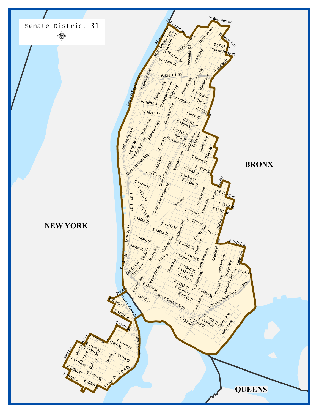